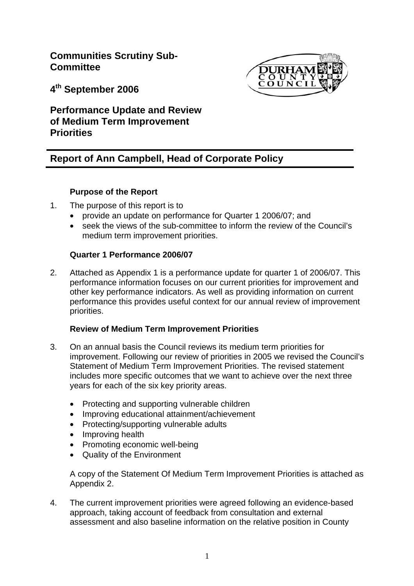**Communities Scrutiny Sub-Committee** 



**4th September 2006** 

**Performance Update and Review of Medium Term Improvement Priorities** 

# **Report of Ann Campbell, Head of Corporate Policy**

# **Purpose of the Report**

- 1. The purpose of this report is to
	- provide an update on performance for Quarter 1 2006/07; and
	- seek the views of the sub-committee to inform the review of the Council's medium term improvement priorities.

# **Quarter 1 Performance 2006/07**

2. Attached as Appendix 1 is a performance update for quarter 1 of 2006/07. This performance information focuses on our current priorities for improvement and other key performance indicators. As well as providing information on current performance this provides useful context for our annual review of improvement priorities.

## **Review of Medium Term Improvement Priorities**

- 3. On an annual basis the Council reviews its medium term priorities for improvement. Following our review of priorities in 2005 we revised the Council's Statement of Medium Term Improvement Priorities. The revised statement includes more specific outcomes that we want to achieve over the next three years for each of the six key priority areas.
	- Protecting and supporting vulnerable children
	- Improving educational attainment/achievement
	- Protecting/supporting vulnerable adults
	- Improving health
	- Promoting economic well-being
	- Quality of the Environment

 A copy of the Statement Of Medium Term Improvement Priorities is attached as Appendix 2.

4. The current improvement priorities were agreed following an evidence-based approach, taking account of feedback from consultation and external assessment and also baseline information on the relative position in County